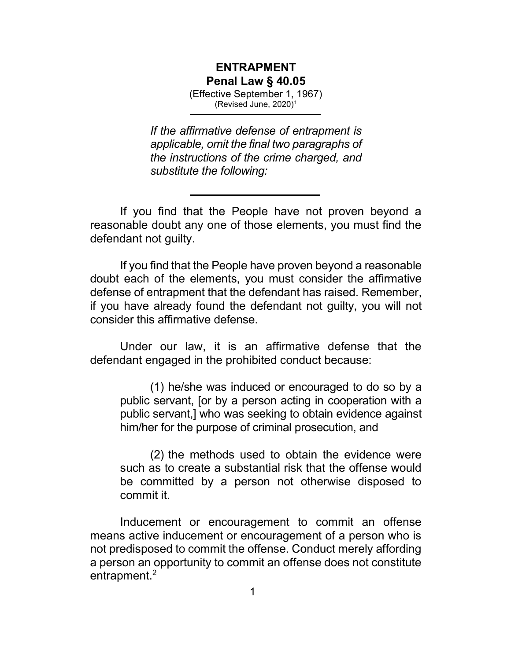## ENTRAPMENT Penal Law § 40.05

(Effective September 1, 1967) (Revised June, 2020)<sup>1</sup>

If the affirmative defense of entrapment is applicable, omit the final two paragraphs of the instructions of the crime charged, and substitute the following:

If you find that the People have not proven beyond a reasonable doubt any one of those elements, you must find the defendant not guilty.

If you find that the People have proven beyond a reasonable doubt each of the elements, you must consider the affirmative defense of entrapment that the defendant has raised. Remember, if you have already found the defendant not guilty, you will not consider this affirmative defense.

Under our law, it is an affirmative defense that the defendant engaged in the prohibited conduct because:

(1) he/she was induced or encouraged to do so by a public servant, [or by a person acting in cooperation with a public servant,] who was seeking to obtain evidence against him/her for the purpose of criminal prosecution, and

(2) the methods used to obtain the evidence were such as to create a substantial risk that the offense would be committed by a person not otherwise disposed to commit it.

Inducement or encouragement to commit an offense means active inducement or encouragement of a person who is not predisposed to commit the offense. Conduct merely affording a person an opportunity to commit an offense does not constitute entrapment.<sup>2</sup>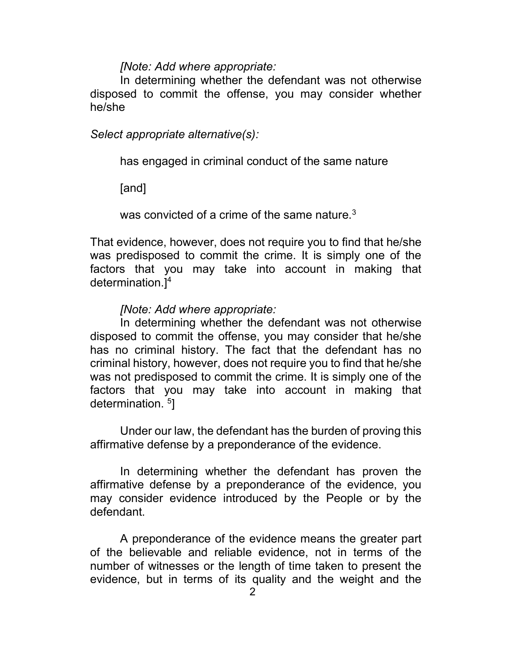## [Note: Add where appropriate:

In determining whether the defendant was not otherwise disposed to commit the offense, you may consider whether he/she

Select appropriate alternative(s):

has engaged in criminal conduct of the same nature

[and]

was convicted of a crime of the same nature.<sup>3</sup>

That evidence, however, does not require you to find that he/she was predisposed to commit the crime. It is simply one of the factors that you may take into account in making that determination.]<sup>4</sup>

## [Note: Add where appropriate:

In determining whether the defendant was not otherwise disposed to commit the offense, you may consider that he/she has no criminal history. The fact that the defendant has no criminal history, however, does not require you to find that he/she was not predisposed to commit the crime. It is simply one of the factors that you may take into account in making that determination. <sup>5</sup>]

Under our law, the defendant has the burden of proving this affirmative defense by a preponderance of the evidence.

In determining whether the defendant has proven the affirmative defense by a preponderance of the evidence, you may consider evidence introduced by the People or by the defendant.

A preponderance of the evidence means the greater part of the believable and reliable evidence, not in terms of the number of witnesses or the length of time taken to present the evidence, but in terms of its quality and the weight and the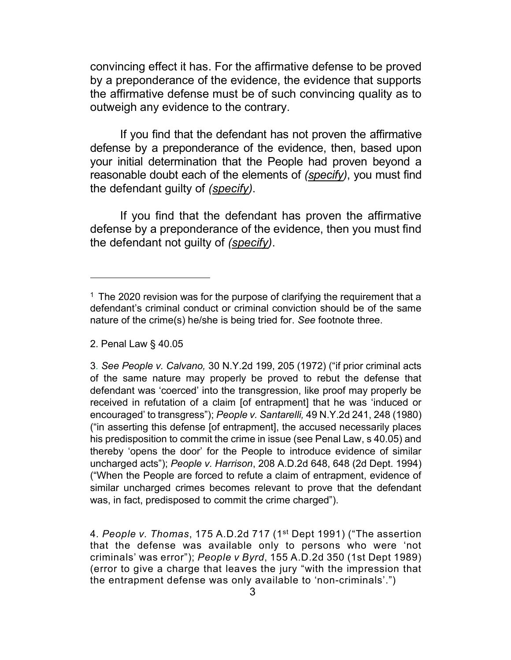convincing effect it has. For the affirmative defense to be proved by a preponderance of the evidence, the evidence that supports the affirmative defense must be of such convincing quality as to outweigh any evidence to the contrary.

If you find that the defendant has not proven the affirmative defense by a preponderance of the evidence, then, based upon your initial determination that the People had proven beyond a reasonable doubt each of the elements of (specify), you must find the defendant guilty of (specify).

If you find that the defendant has proven the affirmative defense by a preponderance of the evidence, then you must find the defendant not guilty of (specify).

2. Penal Law § 40.05

4. People v. Thomas, 175 A.D.2d 717 (1st Dept 1991) ("The assertion that the defense was available only to persons who were 'not criminals' was error"); People v Byrd, 155 A.D.2d 350 (1st Dept 1989) (error to give a charge that leaves the jury "with the impression that the entrapment defense was only available to 'non-criminals'.")

 $1$  The 2020 revision was for the purpose of clarifying the requirement that a defendant's criminal conduct or criminal conviction should be of the same nature of the crime(s) he/she is being tried for. See footnote three.

<sup>3</sup>. See People v. Calvano, 30 N.Y.2d 199, 205 (1972) ("if prior criminal acts of the same nature may properly be proved to rebut the defense that defendant was 'coerced' into the transgression, like proof may properly be received in refutation of a claim [of entrapment] that he was 'induced or encouraged' to transgress"); People v. Santarelli, 49 N.Y.2d 241, 248 (1980) ("in asserting this defense [of entrapment], the accused necessarily places his predisposition to commit the crime in issue (see Penal Law, s 40.05) and thereby 'opens the door' for the People to introduce evidence of similar uncharged acts"); People v. Harrison, 208 A.D.2d 648, 648 (2d Dept. 1994) ("When the People are forced to refute a claim of entrapment, evidence of similar uncharged crimes becomes relevant to prove that the defendant was, in fact, predisposed to commit the crime charged").